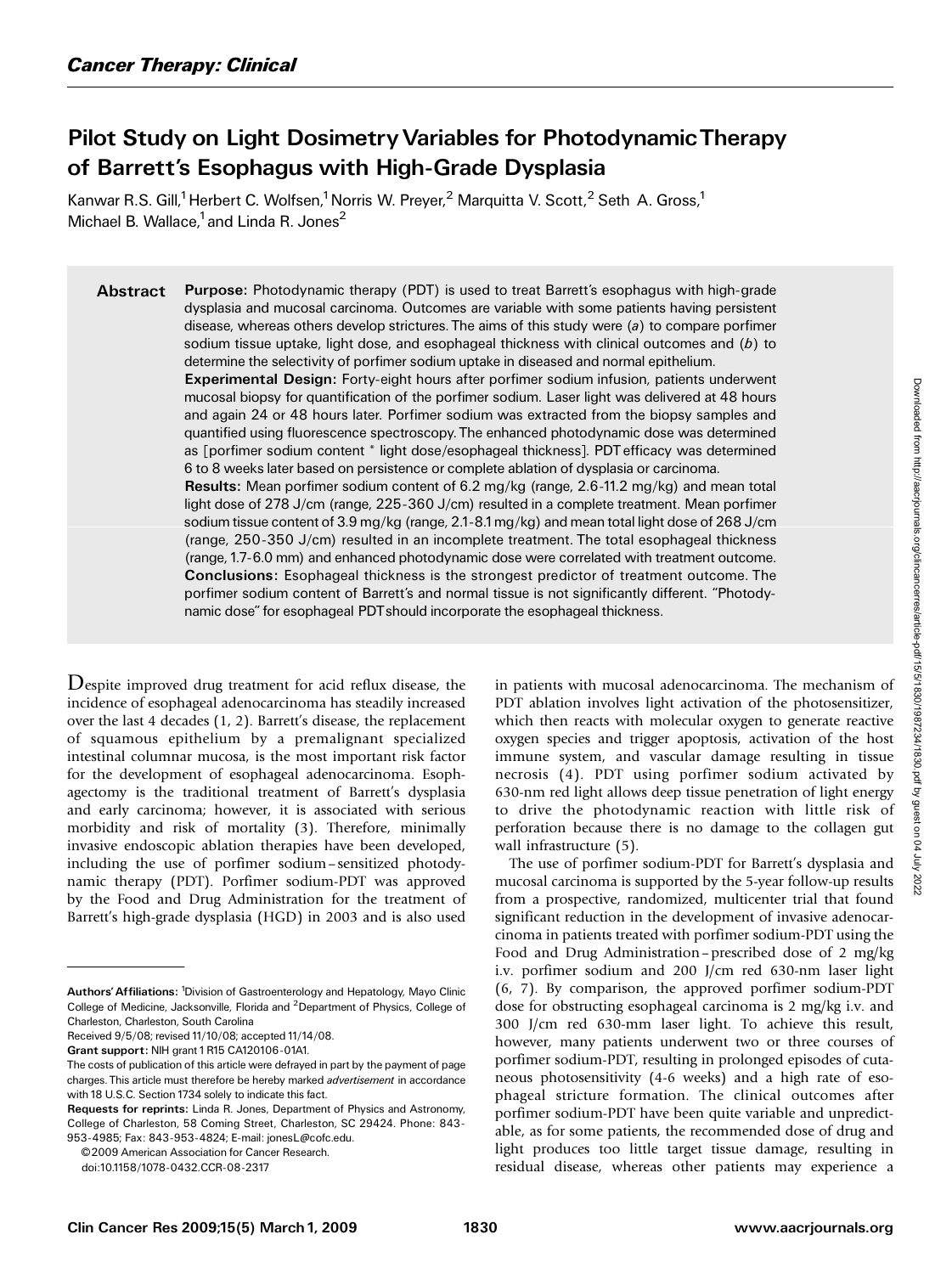# Pilot Study on Light Dosimetry Variables for Photodynamic Therapy of Barrett's Esophagus with High-Grade Dysplasia

Kanwar R.S. Gill,<sup>1</sup> Herbert C. Wolfsen,<sup>1</sup> Norris W. Preyer,<sup>2</sup> Marquitta V. Scott,<sup>2</sup> Seth A. Gross,<sup>1</sup> Michael B. Wallace,<sup>1</sup> and Linda R. Jones<sup>2</sup>

Abstract Purpose: Photodynamic therapy (PDT) is used to treat Barrett's esophagus with high-grade dysplasia and mucosal carcinoma. Outcomes are variable with some patients having persistent disease, whereas others develop strictures. The aims of this study were  $(a)$  to compare porfimer sodium tissue uptake, light dose, and esophageal thickness with clinical outcomes and  $(b)$  to determine the selectivity of porfimer sodium uptake in diseased and normal epithelium.

Experimental Design: Forty-eight hours after porfimer sodium infusion, patients underwent mucosal biopsy for quantification of the porfimer sodium. Laser light was delivered at 48 hours and again 24 or 48 hours later. Porfimer sodium was extracted from the biopsy samples and quantified using fluorescence spectroscopy. The enhanced photodynamic dose was determined as [porfimer sodium content \* light dose/esophageal thickness]. PDT efficacy was determined 6 to 8 weeks later based on persistence or complete ablation of dysplasia or carcinoma.

Results: Mean porfimer sodium content of 6.2 mg/kg (range, 2.6-11.2 mg/kg) and mean total light dose of 278 J/cm (range, 225-360 J/cm) resulted in a complete treatment. Mean porfimer sodium tissue content of 3.9 mg/kg (range, 2.1-8.1mg/kg) and mean total light dose of 268 J/cm (range, 250-350 J/cm) resulted in an incomplete treatment. The total esophageal thickness (range, 1.7-6.0 mm) and enhanced photodynamic dose were correlated with treatment outcome. Conclusions: Esophageal thickness is the strongest predictor of treatment outcome. The porfimer sodium content of Barrett's and normal tissue is not significantly different. ''Photodynamic dose'' for esophageal PDTshould incorporate the esophageal thickness.

Despite improved drug treatment for acid reflux disease, the incidence of esophageal adenocarcinoma has steadily increased over the last 4 decades (1, 2). Barrett's disease, the replacement of squamous epithelium by a premalignant specialized intestinal columnar mucosa, is the most important risk factor for the development of esophageal adenocarcinoma. Esophagectomy is the traditional treatment of Barrett's dysplasia and early carcinoma; however, it is associated with serious morbidity and risk of mortality (3). Therefore, minimally invasive endoscopic ablation therapies have been developed, including the use of porfimer sodium – sensitized photodynamic therapy (PDT). Porfimer sodium-PDT was approved by the Food and Drug Administration for the treatment of Barrett's high-grade dysplasia (HGD) in 2003 and is also used

Grant support: NIH grant 1R15 CA120106-01A1.

in patients with mucosal adenocarcinoma. The mechanism of PDT ablation involves light activation of the photosensitizer, which then reacts with molecular oxygen to generate reactive oxygen species and trigger apoptosis, activation of the host immune system, and vascular damage resulting in tissue necrosis (4). PDT using porfimer sodium activated by 630-nm red light allows deep tissue penetration of light energy to drive the photodynamic reaction with little risk of perforation because there is no damage to the collagen gut wall infrastructure (5).

The use of porfimer sodium-PDT for Barrett's dysplasia and mucosal carcinoma is supported by the 5-year follow-up results from a prospective, randomized, multicenter trial that found significant reduction in the development of invasive adenocarcinoma in patients treated with porfimer sodium-PDT using the Food and Drug Administration-prescribed dose of 2 mg/kg i.v. porfimer sodium and 200 J/cm red 630-nm laser light (6, 7). By comparison, the approved porfimer sodium-PDT dose for obstructing esophageal carcinoma is 2 mg/kg i.v. and 300 J/cm red 630-mm laser light. To achieve this result, however, many patients underwent two or three courses of porfimer sodium-PDT, resulting in prolonged episodes of cutaneous photosensitivity (4-6 weeks) and a high rate of esophageal stricture formation. The clinical outcomes after porfimer sodium-PDT have been quite variable and unpredictable, as for some patients, the recommended dose of drug and light produces too little target tissue damage, resulting in residual disease, whereas other patients may experience a

Authors' Affiliations: <sup>1</sup>Division of Gastroenterology and Hepatology, Mayo Clinic College of Medicine, Jacksonville, Florida and <sup>2</sup>Department of Physics, College of Charleston, Charleston, South Carolina

Received 9/5/08; revised 11/10/08; accepted 11/14/08.

The costs of publication of this article were defrayed in part by the payment of page charges. This article must therefore be hereby marked *advertisement* in accordance with 18 U.S.C. Section 1734 solely to indicate this fact.

Requests for reprints: Linda R. Jones, Department of Physics and Astronomy, College of Charleston, 58 Coming Street, Charleston, SC 29424. Phone: 843- 953-4985; Fax: 843-953-4824; E-mail: jonesL@cofc.edu.

<sup>© 2009</sup> American Association for Cancer Research.

doi:10.1158/1078-0432.CCR-08-2317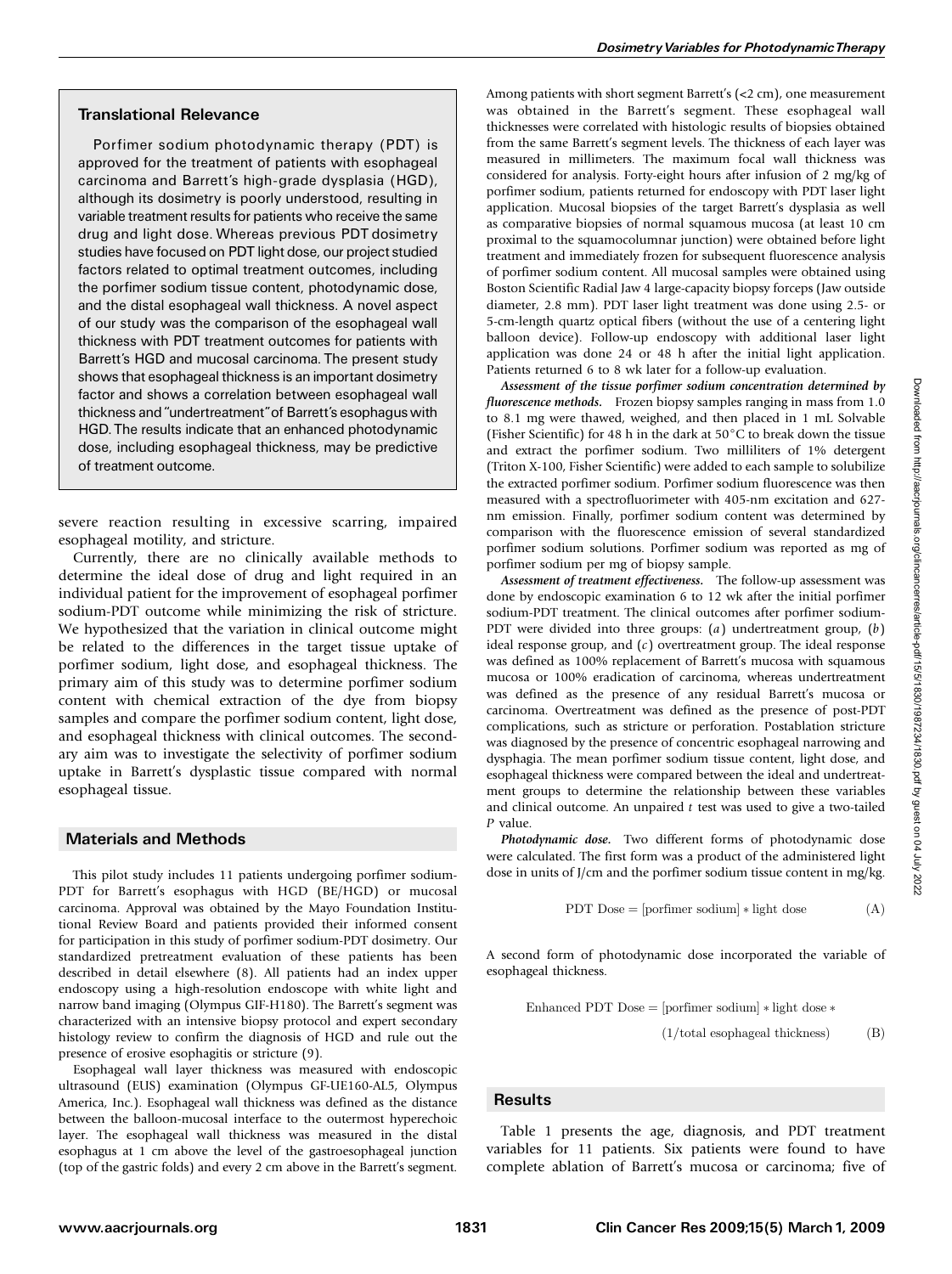Porfimer sodium photodynamic therapy (PDT) is approved for the treatment of patients with esophageal carcinoma and Barrett's high-grade dysplasia (HGD), although its dosimetry is poorly understood, resulting in variable treatment results for patients who receive the same drug and light dose. Whereas previous PDT dosimetry studies have focused on PDT light dose, our project studied factors related to optimal treatment outcomes, including the porfimer sodium tissue content, photodynamic dose, and the distal esophageal wall thickness. A novel aspect of our study was the comparison of the esophageal wall thickness with PDT treatment outcomes for patients with Barrett's HGD and mucosal carcinoma. The present study shows that esophageal thickness is an important dosimetry factor and shows a correlation between esophageal wall thickness and''undertreatment''of Barrett's esophaguswith HGD. The results indicate that an enhanced photodynamic dose, including esophageal thickness, may be predictive of treatment outcome.

severe reaction resulting in excessive scarring, impaired esophageal motility, and stricture.

Currently, there are no clinically available methods to determine the ideal dose of drug and light required in an individual patient for the improvement of esophageal porfimer sodium-PDT outcome while minimizing the risk of stricture. We hypothesized that the variation in clinical outcome might be related to the differences in the target tissue uptake of porfimer sodium, light dose, and esophageal thickness. The primary aim of this study was to determine porfimer sodium content with chemical extraction of the dye from biopsy samples and compare the porfimer sodium content, light dose, and esophageal thickness with clinical outcomes. The secondary aim was to investigate the selectivity of porfimer sodium uptake in Barrett's dysplastic tissue compared with normal esophageal tissue.

### Materials and Methods

This pilot study includes 11 patients undergoing porfimer sodium-PDT for Barrett's esophagus with HGD (BE/HGD) or mucosal carcinoma. Approval was obtained by the Mayo Foundation Institutional Review Board and patients provided their informed consent for participation in this study of porfimer sodium-PDT dosimetry. Our standardized pretreatment evaluation of these patients has been described in detail elsewhere (8). All patients had an index upper endoscopy using a high-resolution endoscope with white light and narrow band imaging (Olympus GIF-H180). The Barrett's segment was characterized with an intensive biopsy protocol and expert secondary histology review to confirm the diagnosis of HGD and rule out the presence of erosive esophagitis or stricture (9).

Esophageal wall layer thickness was measured with endoscopic ultrasound (EUS) examination (Olympus GF-UE160-AL5, Olympus America, Inc.). Esophageal wall thickness was defined as the distance between the balloon-mucosal interface to the outermost hyperechoic layer. The esophageal wall thickness was measured in the distal esophagus at 1 cm above the level of the gastroesophageal junction (top of the gastric folds) and every 2 cm above in the Barrett's segment.

Among patients with short segment Barrett's (<2 cm), one measurement was obtained in the Barrett's segment. These esophageal wall thicknesses were correlated with histologic results of biopsies obtained from the same Barrett's segment levels. The thickness of each layer was measured in millimeters. The maximum focal wall thickness was considered for analysis. Forty-eight hours after infusion of 2 mg/kg of porfimer sodium, patients returned for endoscopy with PDT laser light application. Mucosal biopsies of the target Barrett's dysplasia as well as comparative biopsies of normal squamous mucosa (at least 10 cm proximal to the squamocolumnar junction) were obtained before light treatment and immediately frozen for subsequent fluorescence analysis of porfimer sodium content. All mucosal samples were obtained using Boston Scientific Radial Jaw 4 large-capacity biopsy forceps (Jaw outside diameter, 2.8 mm). PDT laser light treatment was done using 2.5- or 5-cm-length quartz optical fibers (without the use of a centering light balloon device). Follow-up endoscopy with additional laser light application was done 24 or 48 h after the initial light application. Patients returned 6 to 8 wk later for a follow-up evaluation.

Assessment of the tissue porfimer sodium concentration determined by fluorescence methods. Frozen biopsy samples ranging in mass from 1.0 to 8.1 mg were thawed, weighed, and then placed in 1 mL Solvable (Fisher Scientific) for 48 h in the dark at  $50^{\circ}$ C to break down the tissue and extract the porfimer sodium. Two milliliters of 1% detergent (Triton X-100, Fisher Scientific) were added to each sample to solubilize the extracted porfimer sodium. Porfimer sodium fluorescence was then measured with a spectrofluorimeter with 405-nm excitation and 627 nm emission. Finally, porfimer sodium content was determined by comparison with the fluorescence emission of several standardized porfimer sodium solutions. Porfimer sodium was reported as mg of porfimer sodium per mg of biopsy sample.

Assessment of treatment effectiveness. The follow-up assessment was done by endoscopic examination 6 to 12 wk after the initial porfimer sodium-PDT treatment. The clinical outcomes after porfimer sodium-PDT were divided into three groups:  $(a)$  undertreatment group,  $(b)$ ideal response group, and  $(c)$  overtreatment group. The ideal response was defined as 100% replacement of Barrett's mucosa with squamous mucosa or 100% eradication of carcinoma, whereas undertreatment was defined as the presence of any residual Barrett's mucosa or carcinoma. Overtreatment was defined as the presence of post-PDT complications, such as stricture or perforation. Postablation stricture was diagnosed by the presence of concentric esophageal narrowing and dysphagia. The mean porfimer sodium tissue content, light dose, and esophageal thickness were compared between the ideal and undertreatment groups to determine the relationship between these variables and clinical outcome. An unpaired  $t$  test was used to give a two-tailed P value.

Photodynamic dose. Two different forms of photodynamic dose were calculated. The first form was a product of the administered light dose in units of J/cm and the porfimer sodium tissue content in mg/kg.

$$
PDT\;Dose = [performance\; sodium] * light\; dose \qquad \qquad (A)
$$

A second form of photodynamic dose incorporated the variable of esophageal thickness.

Enhanced PDT Dose  $=$  [porfimer sodium]  $*$  light dose  $*$ 

 $(1/\text{total esophageda}$  thickness $)$  (B)

### Results

Table 1 presents the age, diagnosis, and PDT treatment variables for 11 patients. Six patients were found to have complete ablation of Barrett's mucosa or carcinoma; five of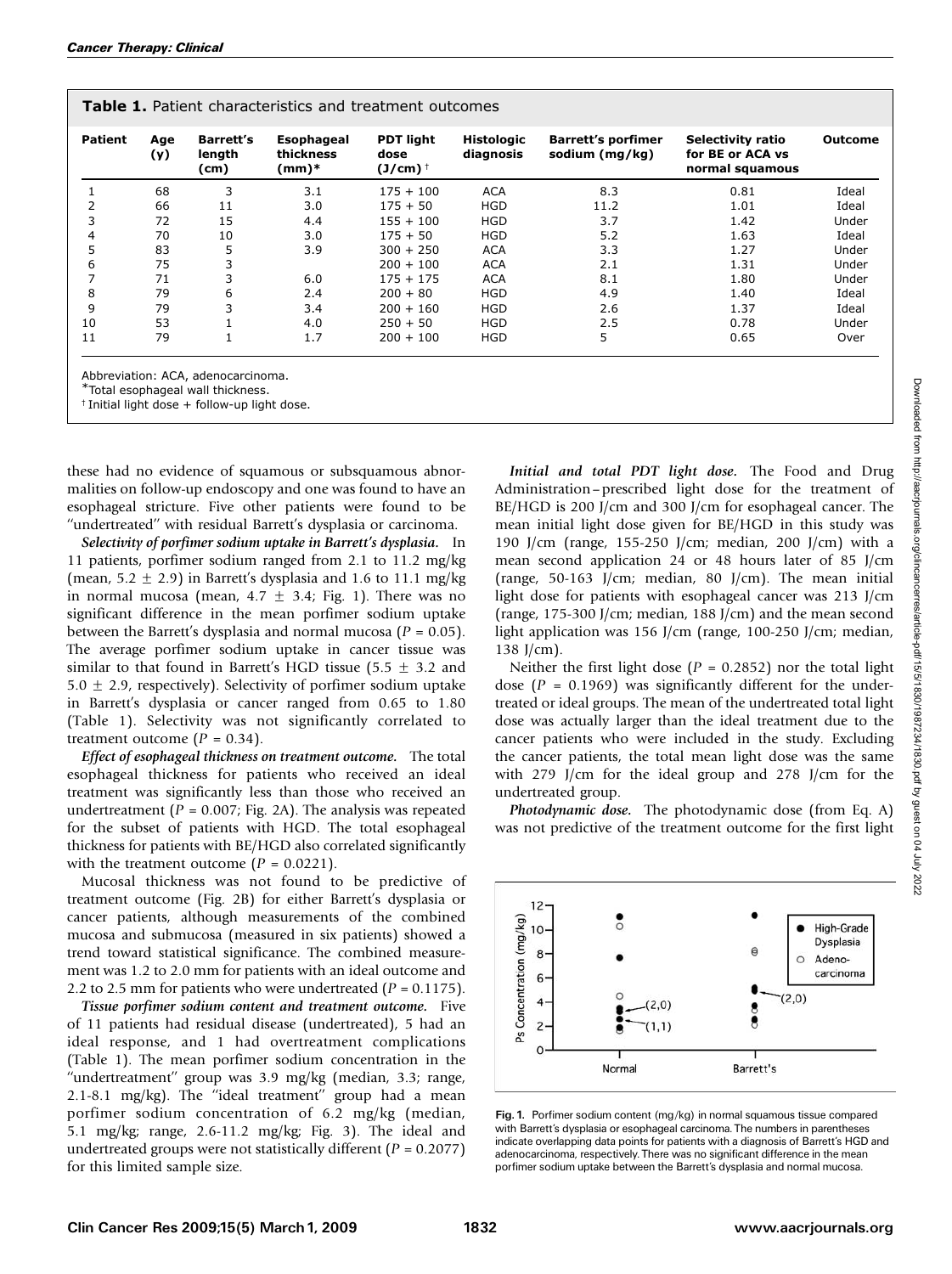| <b>Table 1.</b> Patient characteristics and treatment outcomes |  |
|----------------------------------------------------------------|--|
|----------------------------------------------------------------|--|

| <b>Patient</b> | Age<br>(y) | <b>Barrett's</b><br>length<br>(cm) | Esophageal<br>thickness<br>(mm)* | <b>PDT light</b><br>dose<br>$(J/cm)^+$ | <b>Histologic</b><br>diagnosis | <b>Barrett's porfimer</b><br>sodium (mg/kg) | <b>Selectivity ratio</b><br>for BE or ACA vs<br>normal squamous | <b>Outcome</b> |
|----------------|------------|------------------------------------|----------------------------------|----------------------------------------|--------------------------------|---------------------------------------------|-----------------------------------------------------------------|----------------|
|                | 68         | 3                                  | 3.1                              | $175 + 100$                            | <b>ACA</b>                     | 8.3                                         | 0.81                                                            | Ideal          |
|                | 66         | 11                                 | 3.0                              | $175 + 50$                             | <b>HGD</b>                     | 11.2                                        | 1.01                                                            | Ideal          |
| 3              | 72         | 15                                 | 4.4                              | $155 + 100$                            | <b>HGD</b>                     | 3.7                                         | 1.42                                                            | Under          |
| 4              | 70         | 10                                 | 3.0                              | $175 + 50$                             | <b>HGD</b>                     | 5.2                                         | 1.63                                                            | Ideal          |
| 5              | 83         | 5                                  | 3.9                              | $300 + 250$                            | <b>ACA</b>                     | 3.3                                         | 1.27                                                            | Under          |
| 6              | 75         | 3                                  |                                  | $200 + 100$                            | <b>ACA</b>                     | 2.1                                         | 1.31                                                            | Under          |
|                | 71         | 3                                  | 6.0                              | $175 + 175$                            | <b>ACA</b>                     | 8.1                                         | 1.80                                                            | Under          |
| 8              | 79         | 6                                  | 2.4                              | $200 + 80$                             | <b>HGD</b>                     | 4.9                                         | 1.40                                                            | Ideal          |
| 9              | 79         | 3                                  | 3.4                              | $200 + 160$                            | <b>HGD</b>                     | 2.6                                         | 1.37                                                            | Ideal          |
| 10             | 53         |                                    | 4.0                              | $250 + 50$                             | <b>HGD</b>                     | 2.5                                         | 0.78                                                            | Under          |
| 11             | 79         | ┸                                  | 1.7                              | $200 + 100$                            | <b>HGD</b>                     | 5                                           | 0.65                                                            | Over           |

Abbreviation: ACA, adenocarcinoma.

\*Total esophageal wall thickness.

 $\dagger$  Initial light dose + follow-up light dose.

these had no evidence of squamous or subsquamous abnormalities on follow-up endoscopy and one was found to have an esophageal stricture. Five other patients were found to be ''undertreated'' with residual Barrett's dysplasia or carcinoma.

Selectivity of porfimer sodium uptake in Barrett's dysplasia. In 11 patients, porfimer sodium ranged from 2.1 to 11.2 mg/kg (mean,  $5.2 \pm 2.9$ ) in Barrett's dysplasia and 1.6 to 11.1 mg/kg in normal mucosa (mean,  $4.7 \pm 3.4$ ; Fig. 1). There was no significant difference in the mean porfimer sodium uptake between the Barrett's dysplasia and normal mucosa ( $P = 0.05$ ). The average porfimer sodium uptake in cancer tissue was similar to that found in Barrett's HGD tissue (5.5  $\pm$  3.2 and 5.0  $\pm$  2.9, respectively). Selectivity of porfimer sodium uptake in Barrett's dysplasia or cancer ranged from 0.65 to 1.80 (Table 1). Selectivity was not significantly correlated to treatment outcome  $(P = 0.34)$ .

Effect of esophageal thickness on treatment outcome. The total esophageal thickness for patients who received an ideal treatment was significantly less than those who received an undertreatment ( $P = 0.007$ ; Fig. 2A). The analysis was repeated for the subset of patients with HGD. The total esophageal thickness for patients with BE/HGD also correlated significantly with the treatment outcome  $(P = 0.0221)$ .

Mucosal thickness was not found to be predictive of treatment outcome (Fig. 2B) for either Barrett's dysplasia or cancer patients, although measurements of the combined mucosa and submucosa (measured in six patients) showed a trend toward statistical significance. The combined measurement was 1.2 to 2.0 mm for patients with an ideal outcome and 2.2 to 2.5 mm for patients who were undertreated  $(P = 0.1175)$ .

Tissue porfimer sodium content and treatment outcome. Five of 11 patients had residual disease (undertreated), 5 had an ideal response, and 1 had overtreatment complications (Table 1). The mean porfimer sodium concentration in the ''undertreatment'' group was 3.9 mg/kg (median, 3.3; range, 2.1-8.1 mg/kg). The ''ideal treatment'' group had a mean porfimer sodium concentration of 6.2 mg/kg (median, 5.1 mg/kg; range, 2.6-11.2 mg/kg; Fig. 3). The ideal and undertreated groups were not statistically different ( $P = 0.2077$ ) for this limited sample size.

Initial and total PDT light dose. The Food and Drug Administration –prescribed light dose for the treatment of BE/HGD is 200 J/cm and 300 J/cm for esophageal cancer. The mean initial light dose given for BE/HGD in this study was 190 J/cm (range, 155-250 J/cm; median, 200 J/cm) with a mean second application 24 or 48 hours later of 85 J/cm (range, 50-163 J/cm; median, 80 J/cm). The mean initial light dose for patients with esophageal cancer was 213 J/cm (range, 175-300 J/cm; median, 188 J/cm) and the mean second light application was 156 J/cm (range, 100-250 J/cm; median, 138 J/cm).

Neither the first light dose ( $P = 0.2852$ ) nor the total light dose ( $P = 0.1969$ ) was significantly different for the undertreated or ideal groups. The mean of the undertreated total light dose was actually larger than the ideal treatment due to the cancer patients who were included in the study. Excluding the cancer patients, the total mean light dose was the same with 279 J/cm for the ideal group and 278 J/cm for the undertreated group.

Photodynamic dose. The photodynamic dose (from Eq. A) was not predictive of the treatment outcome for the first light



Fig. 1. Porfimer sodium content (mg/kg) in normal squamous tissue compared with Barrett's dysplasia or esophageal carcinoma. The numbers in parentheses indicate overlapping data points for patients with a diagnosis of Barrett's HGD and adenocarcinoma, respectively. There was no significant difference in the mean porfimer sodium uptake between the Barrett's dysplasia and normal mucosa.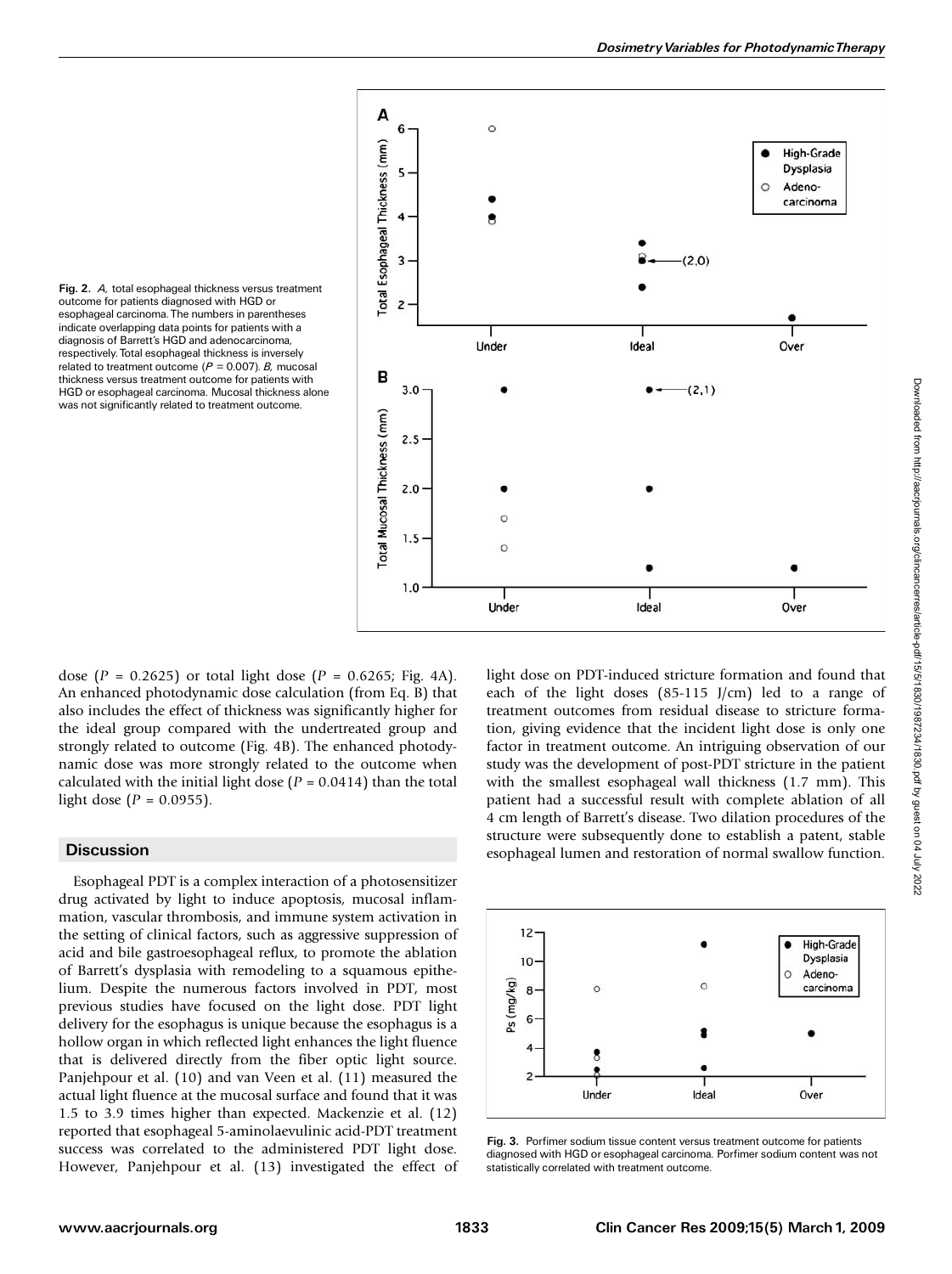

Fig. 2. A, total esophageal thickness versus treatment outcome for patients diagnosed with HGD or esophageal carcinoma. The numbers in parentheses indicate overlapping data points for patients with a diagnosis of Barrett's HGD and adenocarcinoma, respectively. Total esophageal thickness is inversely related to treatment outcome ( $P = 0.007$ ). B, mucosal thickness versus treatment outcome for patients with HGD or esophageal carcinoma. Mucosal thickness alone was not significantly related to treatment outcome.

dose ( $P = 0.2625$ ) or total light dose ( $P = 0.6265$ ; Fig. 4A). An enhanced photodynamic dose calculation (from Eq. B) that also includes the effect of thickness was significantly higher for the ideal group compared with the undertreated group and strongly related to outcome (Fig. 4B). The enhanced photodynamic dose was more strongly related to the outcome when calculated with the initial light dose ( $P = 0.0414$ ) than the total light dose ( $P = 0.0955$ ).

## **Discussion**

Esophageal PDT is a complex interaction of a photosensitizer drug activated by light to induce apoptosis, mucosal inflammation, vascular thrombosis, and immune system activation in the setting of clinical factors, such as aggressive suppression of acid and bile gastroesophageal reflux, to promote the ablation of Barrett's dysplasia with remodeling to a squamous epithelium. Despite the numerous factors involved in PDT, most previous studies have focused on the light dose. PDT light delivery for the esophagus is unique because the esophagus is a hollow organ in which reflected light enhances the light fluence that is delivered directly from the fiber optic light source. Panjehpour et al. (10) and van Veen et al. (11) measured the actual light fluence at the mucosal surface and found that it was 1.5 to 3.9 times higher than expected. Mackenzie et al. (12) reported that esophageal 5-aminolaevulinic acid-PDT treatment success was correlated to the administered PDT light dose. However, Panjehpour et al. (13) investigated the effect of light dose on PDT-induced stricture formation and found that each of the light doses (85-115 J/cm) led to a range of treatment outcomes from residual disease to stricture formation, giving evidence that the incident light dose is only one factor in treatment outcome. An intriguing observation of our study was the development of post-PDT stricture in the patient with the smallest esophageal wall thickness (1.7 mm). This patient had a successful result with complete ablation of all 4 cm length of Barrett's disease. Two dilation procedures of the structure were subsequently done to establish a patent, stable esophageal lumen and restoration of normal swallow function.



Fig. 3. Porfimer sodium tissue content versus treatment outcome for patients diagnosed with HGD or esophageal carcinoma. Porfimer sodium content was not statistically correlated with treatment outcome.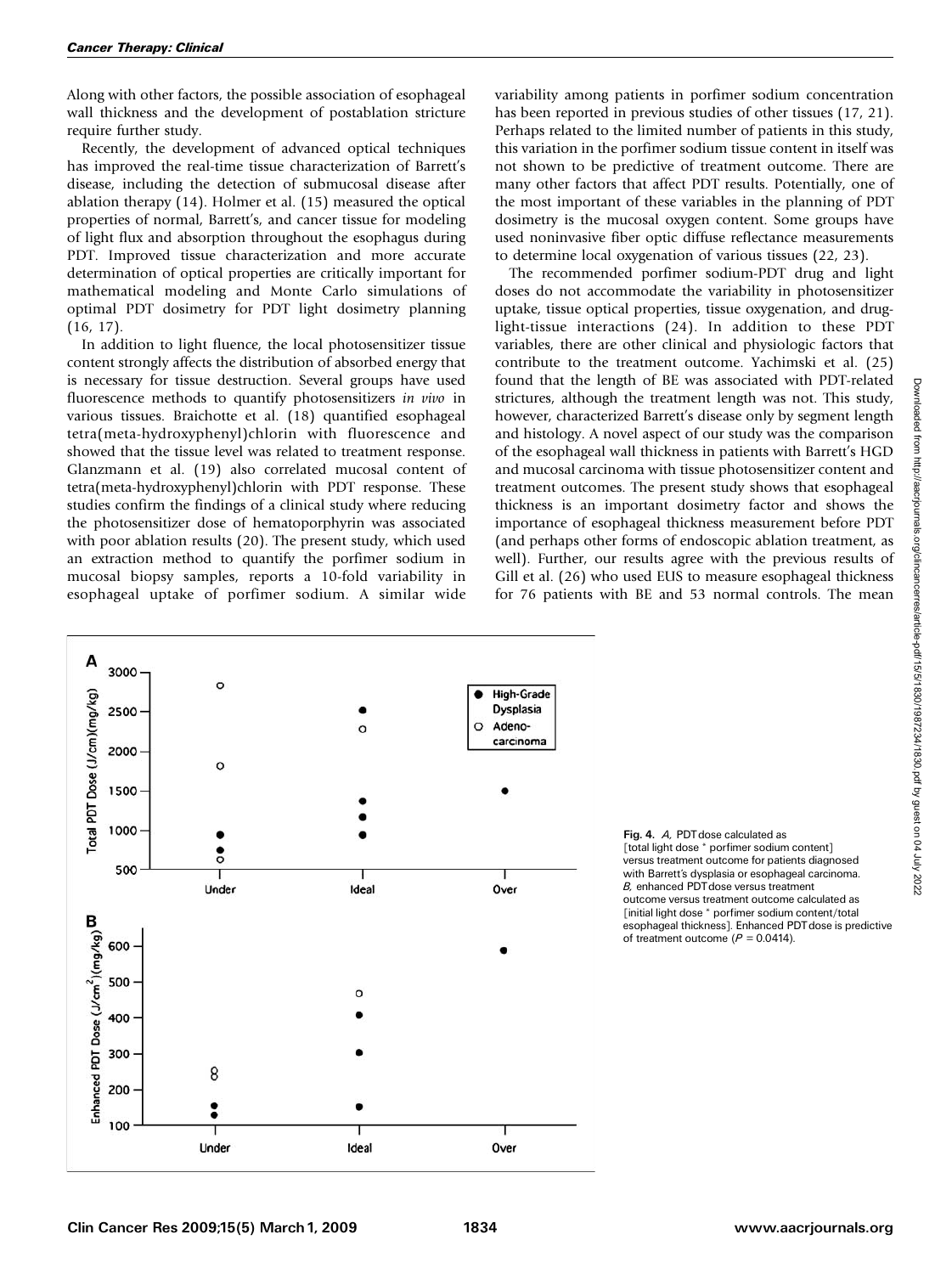Along with other factors, the possible association of esophageal wall thickness and the development of postablation stricture require further study.

Recently, the development of advanced optical techniques has improved the real-time tissue characterization of Barrett's disease, including the detection of submucosal disease after ablation therapy (14). Holmer et al. (15) measured the optical properties of normal, Barrett's, and cancer tissue for modeling of light flux and absorption throughout the esophagus during PDT. Improved tissue characterization and more accurate determination of optical properties are critically important for mathematical modeling and Monte Carlo simulations of optimal PDT dosimetry for PDT light dosimetry planning (16, 17).

In addition to light fluence, the local photosensitizer tissue content strongly affects the distribution of absorbed energy that is necessary for tissue destruction. Several groups have used fluorescence methods to quantify photosensitizers in vivo in various tissues. Braichotte et al. (18) quantified esophageal tetra(meta-hydroxyphenyl)chlorin with fluorescence and showed that the tissue level was related to treatment response. Glanzmann et al. (19) also correlated mucosal content of tetra(meta-hydroxyphenyl)chlorin with PDT response. These studies confirm the findings of a clinical study where reducing the photosensitizer dose of hematoporphyrin was associated with poor ablation results (20). The present study, which used an extraction method to quantify the porfimer sodium in mucosal biopsy samples, reports a 10-fold variability in esophageal uptake of porfimer sodium. A similar wide

variability among patients in porfimer sodium concentration has been reported in previous studies of other tissues (17, 21). Perhaps related to the limited number of patients in this study, this variation in the porfimer sodium tissue content in itself was not shown to be predictive of treatment outcome. There are many other factors that affect PDT results. Potentially, one of the most important of these variables in the planning of PDT dosimetry is the mucosal oxygen content. Some groups have used noninvasive fiber optic diffuse reflectance measurements to determine local oxygenation of various tissues (22, 23).

The recommended porfimer sodium-PDT drug and light doses do not accommodate the variability in photosensitizer uptake, tissue optical properties, tissue oxygenation, and druglight-tissue interactions (24). In addition to these PDT variables, there are other clinical and physiologic factors that contribute to the treatment outcome. Yachimski et al. (25) found that the length of BE was associated with PDT-related strictures, although the treatment length was not. This study, however, characterized Barrett's disease only by segment length and histology. A novel aspect of our study was the comparison of the esophageal wall thickness in patients with Barrett's HGD and mucosal carcinoma with tissue photosensitizer content and treatment outcomes. The present study shows that esophageal thickness is an important dosimetry factor and shows the importance of esophageal thickness measurement before PDT (and perhaps other forms of endoscopic ablation treatment, as well). Further, our results agree with the previous results of Gill et al. (26) who used EUS to measure esophageal thickness for 76 patients with BE and 53 normal controls. The mean



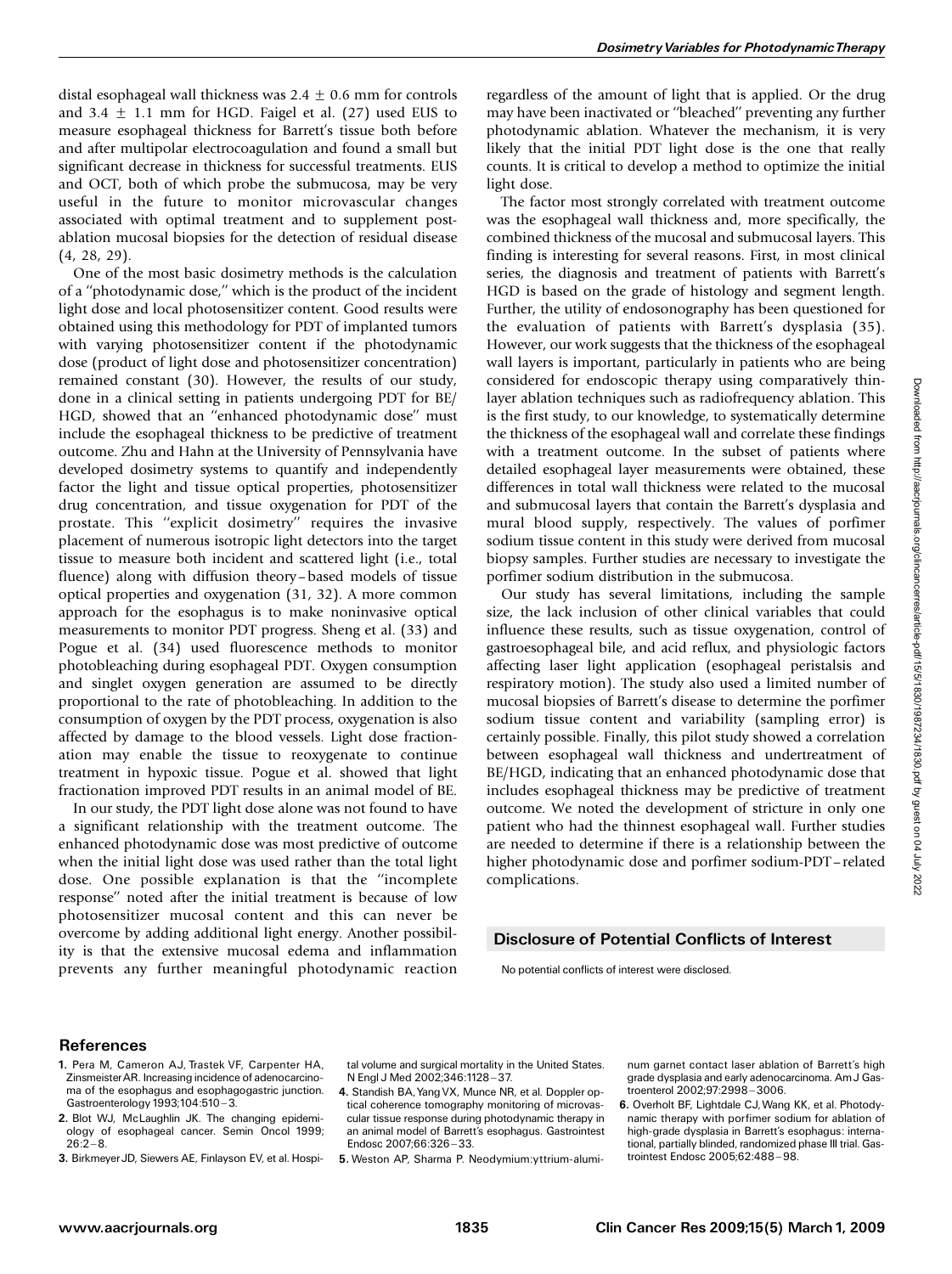distal esophageal wall thickness was  $2.4 \pm 0.6$  mm for controls and 3.4  $\pm$  1.1 mm for HGD. Faigel et al. (27) used EUS to measure esophageal thickness for Barrett's tissue both before and after multipolar electrocoagulation and found a small but significant decrease in thickness for successful treatments. EUS and OCT, both of which probe the submucosa, may be very useful in the future to monitor microvascular changes associated with optimal treatment and to supplement postablation mucosal biopsies for the detection of residual disease (4, 28, 29).

One of the most basic dosimetry methods is the calculation of a ''photodynamic dose,'' which is the product of the incident light dose and local photosensitizer content. Good results were obtained using this methodology for PDT of implanted tumors with varying photosensitizer content if the photodynamic dose (product of light dose and photosensitizer concentration) remained constant (30). However, the results of our study, done in a clinical setting in patients undergoing PDT for BE/ HGD, showed that an "enhanced photodynamic dose" must include the esophageal thickness to be predictive of treatment outcome. Zhu and Hahn at the University of Pennsylvania have developed dosimetry systems to quantify and independently factor the light and tissue optical properties, photosensitizer drug concentration, and tissue oxygenation for PDT of the prostate. This ''explicit dosimetry'' requires the invasive placement of numerous isotropic light detectors into the target tissue to measure both incident and scattered light (i.e., total fluence) along with diffusion theory–based models of tissue optical properties and oxygenation (31, 32). A more common approach for the esophagus is to make noninvasive optical measurements to monitor PDT progress. Sheng et al. (33) and Pogue et al. (34) used fluorescence methods to monitor photobleaching during esophageal PDT. Oxygen consumption and singlet oxygen generation are assumed to be directly proportional to the rate of photobleaching. In addition to the consumption of oxygen by the PDT process, oxygenation is also affected by damage to the blood vessels. Light dose fractionation may enable the tissue to reoxygenate to continue treatment in hypoxic tissue. Pogue et al. showed that light fractionation improved PDT results in an animal model of BE.

In our study, the PDT light dose alone was not found to have a significant relationship with the treatment outcome. The enhanced photodynamic dose was most predictive of outcome when the initial light dose was used rather than the total light dose. One possible explanation is that the ''incomplete response'' noted after the initial treatment is because of low photosensitizer mucosal content and this can never be overcome by adding additional light energy. Another possibility is that the extensive mucosal edema and inflammation prevents any further meaningful photodynamic reaction regardless of the amount of light that is applied. Or the drug may have been inactivated or ''bleached'' preventing any further photodynamic ablation. Whatever the mechanism, it is very likely that the initial PDT light dose is the one that really counts. It is critical to develop a method to optimize the initial light dose.

The factor most strongly correlated with treatment outcome was the esophageal wall thickness and, more specifically, the combined thickness of the mucosal and submucosal layers. This finding is interesting for several reasons. First, in most clinical series, the diagnosis and treatment of patients with Barrett's HGD is based on the grade of histology and segment length. Further, the utility of endosonography has been questioned for the evaluation of patients with Barrett's dysplasia (35). However, our work suggests that the thickness of the esophageal wall layers is important, particularly in patients who are being considered for endoscopic therapy using comparatively thinlayer ablation techniques such as radiofrequency ablation. This is the first study, to our knowledge, to systematically determine the thickness of the esophageal wall and correlate these findings with a treatment outcome. In the subset of patients where detailed esophageal layer measurements were obtained, these differences in total wall thickness were related to the mucosal and submucosal layers that contain the Barrett's dysplasia and mural blood supply, respectively. The values of porfimer sodium tissue content in this study were derived from mucosal biopsy samples. Further studies are necessary to investigate the porfimer sodium distribution in the submucosa.

Our study has several limitations, including the sample size, the lack inclusion of other clinical variables that could influence these results, such as tissue oxygenation, control of gastroesophageal bile, and acid reflux, and physiologic factors affecting laser light application (esophageal peristalsis and respiratory motion). The study also used a limited number of mucosal biopsies of Barrett's disease to determine the porfimer sodium tissue content and variability (sampling error) is certainly possible. Finally, this pilot study showed a correlation between esophageal wall thickness and undertreatment of BE/HGD, indicating that an enhanced photodynamic dose that includes esophageal thickness may be predictive of treatment outcome. We noted the development of stricture in only one patient who had the thinnest esophageal wall. Further studies are needed to determine if there is a relationship between the higher photodynamic dose and porfimer sodium-PDT – related complications.

# Disclosure of Potential Conflicts of Interest

No potential conflicts of interest were disclosed.

# References

- 1. Pera M, Cameron AJ, Trastek VF, Carpenter HA, ZinsmeisterAR. Increasing incidence of adenocarcinoma of the esophagus and esophagogastric junction. Gastroenterology 1993;104:510-3.
- 2. Blot WJ, McLaughlin JK. The changing epidemiology of esophageal cancer. Semin Oncol 1999;  $26:2 - 8.$
- 3. BirkmeyerJD, Siewers AE, Finlayson EV, et al. Hospi-

tal volume and surgical mortality in the United States. N Engl J Med 2002;346:1128-37.

- 4. Standish BA, Yang VX, Munce NR, et al. Doppler optical coherence tomography monitoring of microvascular tissue response during photodynamic therapy in an animal model of Barrett's esophagus. Gastrointest Endosc 2007;66:326-33.
- 5. Weston AP, Sharma P. Neodymium:yttrium-alumi-

num garnet contact laser ablation of Barrett's high grade dysplasia and early adenocarcinoma. AmJ Gastroenterol 2002;97:2998-3006.

6. Overholt BF, Lightdale CJ,Wang KK, et al. Photodynamic therapy with porfimer sodium for ablation of high-grade dysplasia in Barrett's esophagus: international, partially blinded, randomized phase III trial. Gastrointest Endosc 2005;62:488 ^ 98.